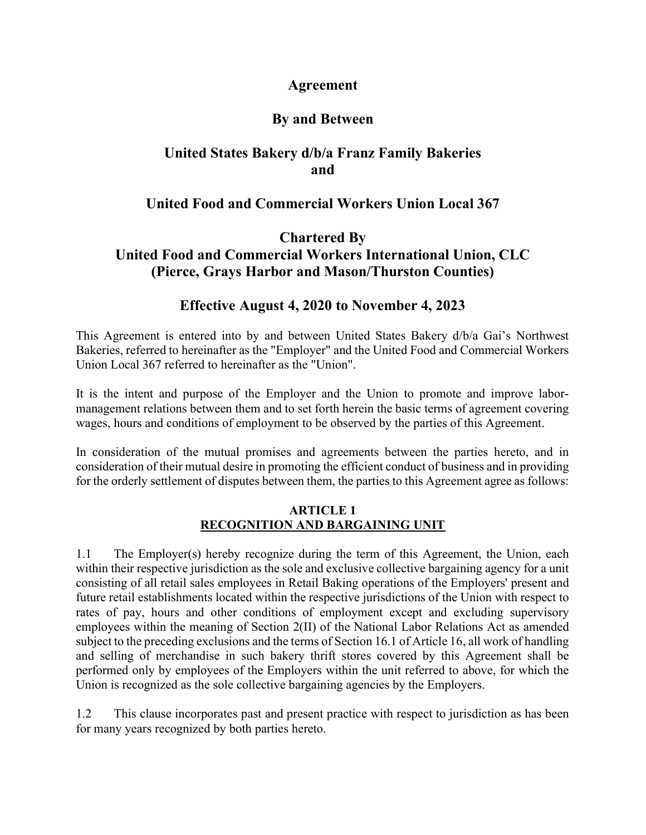# Agreement

# By and Between

# United States Bakery d/b/a Franz Family Bakeries **and and**

# United Food and Commercial Workers Union Local 367

# Chartered By United Food and Commercial Workers International Union, CLC (Pierce, Grays Harbor and Mason/Thurston Counties)

# Effective August 4, 2020 to November 4, 2023

This Agreement is entered into by and between United States Bakery d/b/a Gai's Northwest Bakeries, referred to hereinafter as the "Employer" and the United Food and Commercial Workers Union Local 367 referred to hereinafter as the "Union".

It is the intent and purpose of the Employer and the Union to promote and improve labormanagement relations between them and to set forth herein the basic terms of agreement covering wages, hours and conditions of employment to be observed by the parties of this Agreement.

In consideration of the mutual promises and agreements between the parties hereto, and in consideration of their mutual desire in promoting the efficient conduct of business and in providing for the orderly settlement of disputes between them, the parties to this Agreement agree as follows:

#### ARTICLE 1 RECOGNITION AND BARGAINING UNIT

1.1 The Employer(s) hereby recognize during the term of this Agreement, the Union, each within their respective jurisdiction as the sole and exclusive collective bargaining agency for a unit consisting of all retail sales employees in Retail Baking operations of the Employers' present and future retail establishments located within the respective jurisdictions of the Union with respect to rates of pay, hours and other conditions of employment except and excluding supervisory employees within the meaning of Section 2(II) of the National Labor Relations Act as amended subject to the preceding exclusions and the terms of Section 16.1 of Article 16, all work of handling and selling of merchandise in such bakery thrift stores covered by this Agreement shall be performed only by employees of the Employers within the unit referred to above, for which the Union is recognized as the sole collective bargaining agencies by the Employers.

1.2 This clause incorporates past and present practice with respect to jurisdiction as has been for many years recognized by both parties hereto.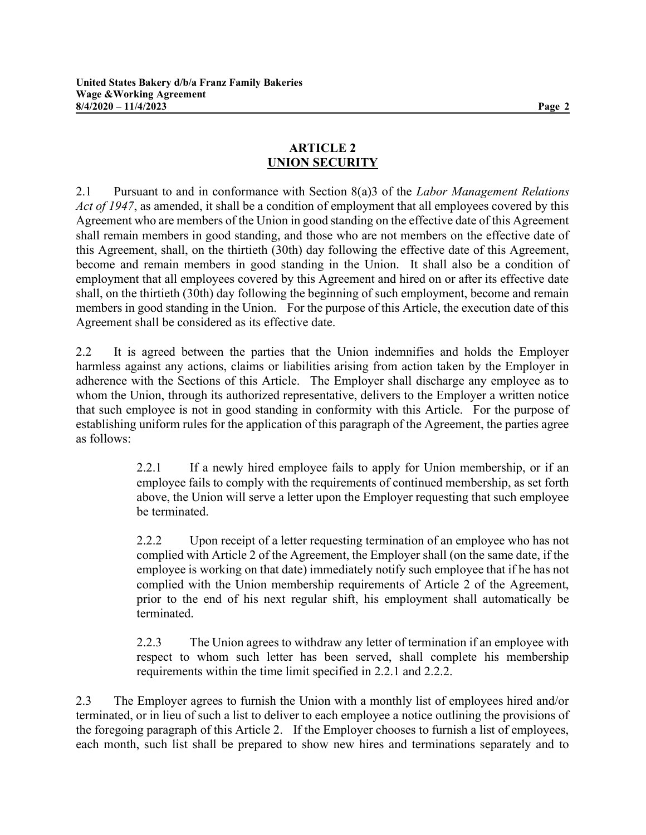## ARTICLE 2 UNION SECURITY

2.1 Pursuant to and in conformance with Section  $8(a)3$  of the Labor Management Relations Act of 1947, as amended, it shall be a condition of employment that all employees covered by this Agreement who are members of the Union in good standing on the effective date of this Agreement shall remain members in good standing, and those who are not members on the effective date of this Agreement, shall, on the thirtieth (30th) day following the effective date of this Agreement, become and remain members in good standing in the Union. It shall also be a condition of employment that all employees covered by this Agreement and hired on or after its effective date shall, on the thirtieth (30th) day following the beginning of such employment, become and remain members in good standing in the Union. For the purpose of this Article, the execution date of this Agreement shall be considered as its effective date.

2.2 It is agreed between the parties that the Union indemnifies and holds the Employer harmless against any actions, claims or liabilities arising from action taken by the Employer in adherence with the Sections of this Article. The Employer shall discharge any employee as to whom the Union, through its authorized representative, delivers to the Employer a written notice that such employee is not in good standing in conformity with this Article. For the purpose of establishing uniform rules for the application of this paragraph of the Agreement, the parties agree as follows:

> 2.2.1 If a newly hired employee fails to apply for Union membership, or if an employee fails to comply with the requirements of continued membership, as set forth above, the Union will serve a letter upon the Employer requesting that such employee be terminated.

> 2.2.2 Upon receipt of a letter requesting termination of an employee who has not complied with Article 2 of the Agreement, the Employer shall (on the same date, if the employee is working on that date) immediately notify such employee that if he has not complied with the Union membership requirements of Article 2 of the Agreement, prior to the end of his next regular shift, his employment shall automatically be terminated.

> 2.2.3 The Union agrees to withdraw any letter of termination if an employee with respect to whom such letter has been served, shall complete his membership requirements within the time limit specified in 2.2.1 and 2.2.2.

2.3 The Employer agrees to furnish the Union with a monthly list of employees hired and/or terminated, or in lieu of such a list to deliver to each employee a notice outlining the provisions of the foregoing paragraph of this Article 2. If the Employer chooses to furnish a list of employees, each month, such list shall be prepared to show new hires and terminations separately and to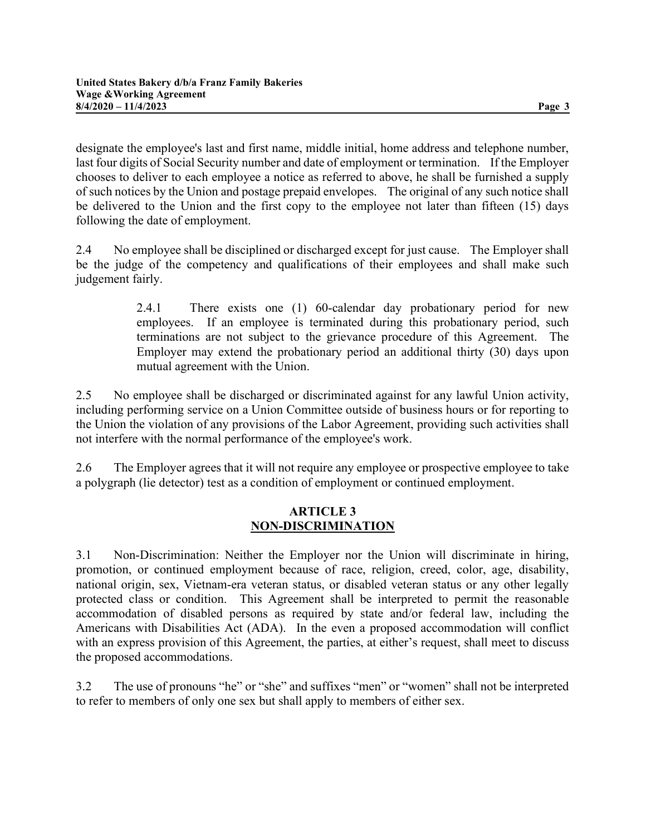designate the employee's last and first name, middle initial, home address and telephone number, last four digits of Social Security number and date of employment or termination. If the Employer chooses to deliver to each employee a notice as referred to above, he shall be furnished a supply of such notices by the Union and postage prepaid envelopes. The original of any such notice shall be delivered to the Union and the first copy to the employee not later than fifteen (15) days following the date of employment.

2.4 No employee shall be disciplined or discharged except for just cause. The Employer shall be the judge of the competency and qualifications of their employees and shall make such judgement fairly.

> 2.4.1 There exists one (1) 60-calendar day probationary period for new employees. If an employee is terminated during this probationary period, such terminations are not subject to the grievance procedure of this Agreement. The Employer may extend the probationary period an additional thirty (30) days upon mutual agreement with the Union.

2.5 No employee shall be discharged or discriminated against for any lawful Union activity, including performing service on a Union Committee outside of business hours or for reporting to the Union the violation of any provisions of the Labor Agreement, providing such activities shall not interfere with the normal performance of the employee's work.

2.6 The Employer agrees that it will not require any employee or prospective employee to take a polygraph (lie detector) test as a condition of employment or continued employment.

#### ARTICLE 3 NON-DISCRIMINATION

3.1 Non-Discrimination: Neither the Employer nor the Union will discriminate in hiring, promotion, or continued employment because of race, religion, creed, color, age, disability, national origin, sex, Vietnam-era veteran status, or disabled veteran status or any other legally protected class or condition. This Agreement shall be interpreted to permit the reasonable accommodation of disabled persons as required by state and/or federal law, including the Americans with Disabilities Act (ADA). In the even a proposed accommodation will conflict with an express provision of this Agreement, the parties, at either's request, shall meet to discuss the proposed accommodations.

3.2 The use of pronouns "he" or "she" and suffixes "men" or "women" shall not be interpreted to refer to members of only one sex but shall apply to members of either sex.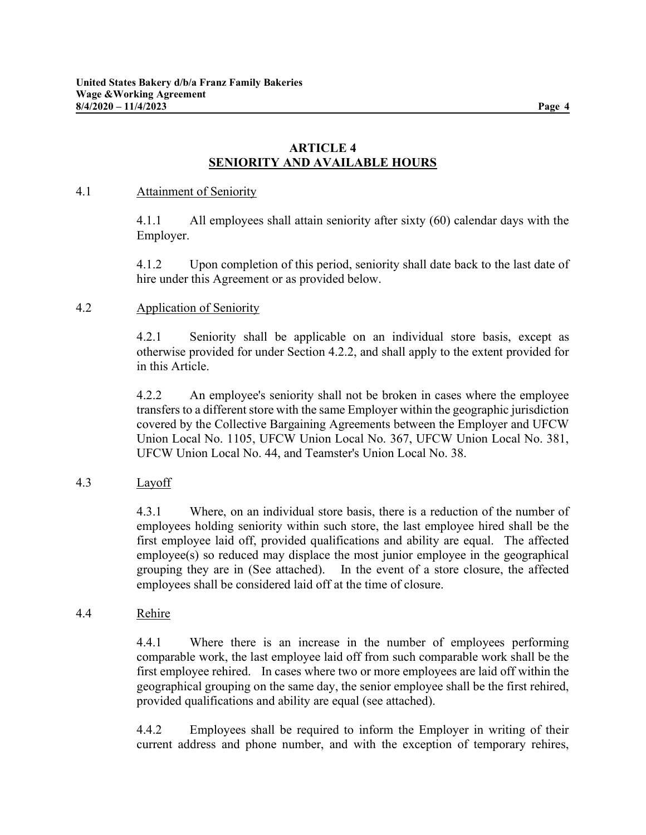## ARTICLE 4 SENIORITY AND AVAILABLE HOURS

#### 4.1 Attainment of Seniority

4.1.1 All employees shall attain seniority after sixty (60) calendar days with the Employer.

4.1.2 Upon completion of this period, seniority shall date back to the last date of hire under this Agreement or as provided below.

#### 4.2 Application of Seniority

4.2.1 Seniority shall be applicable on an individual store basis, except as otherwise provided for under Section 4.2.2, and shall apply to the extent provided for in this Article.

4.2.2 An employee's seniority shall not be broken in cases where the employee transfers to a different store with the same Employer within the geographic jurisdiction covered by the Collective Bargaining Agreements between the Employer and UFCW Union Local No. 1105, UFCW Union Local No. 367, UFCW Union Local No. 381, UFCW Union Local No. 44, and Teamster's Union Local No. 38.

## 4.3 Layoff

4.3.1 Where, on an individual store basis, there is a reduction of the number of employees holding seniority within such store, the last employee hired shall be the first employee laid off, provided qualifications and ability are equal. The affected employee(s) so reduced may displace the most junior employee in the geographical grouping they are in (See attached). In the event of a store closure, the affected employees shall be considered laid off at the time of closure.

#### 4.4 Rehire

4.4.1 Where there is an increase in the number of employees performing comparable work, the last employee laid off from such comparable work shall be the first employee rehired. In cases where two or more employees are laid off within the geographical grouping on the same day, the senior employee shall be the first rehired, provided qualifications and ability are equal (see attached).

4.4.2 Employees shall be required to inform the Employer in writing of their current address and phone number, and with the exception of temporary rehires,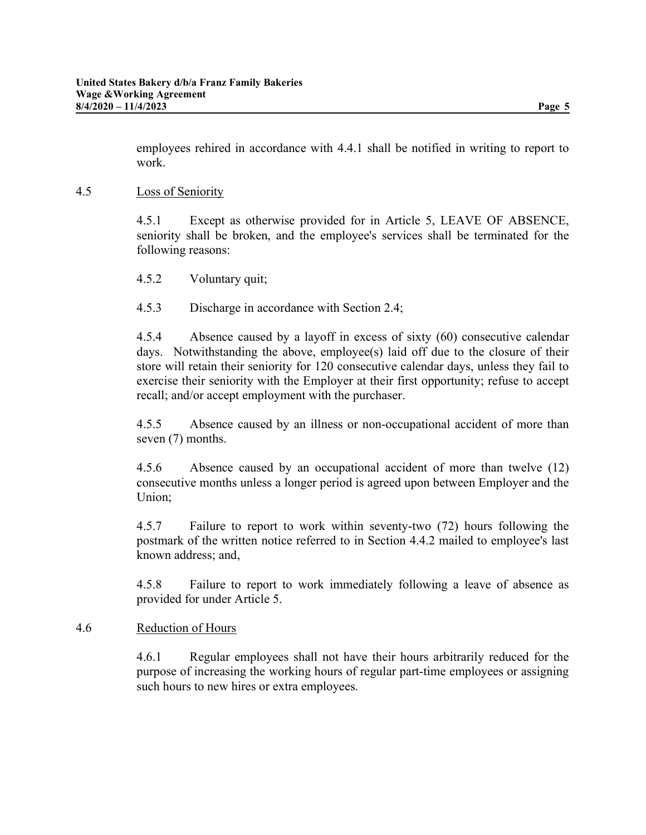employees rehired in accordance with 4.4.1 shall be notified in writing to report to work.

#### 4.5 Loss of Seniority

4.5.1 Except as otherwise provided for in Article 5, LEAVE OF ABSENCE, seniority shall be broken, and the employee's services shall be terminated for the following reasons:

4.5.2 Voluntary quit;

4.5.3 Discharge in accordance with Section 2.4;

4.5.4 Absence caused by a layoff in excess of sixty (60) consecutive calendar days. Notwithstanding the above, employee(s) laid off due to the closure of their store will retain their seniority for 120 consecutive calendar days, unless they fail to exercise their seniority with the Employer at their first opportunity; refuse to accept recall; and/or accept employment with the purchaser.

4.5.5 Absence caused by an illness or non-occupational accident of more than seven (7) months.

4.5.6 Absence caused by an occupational accident of more than twelve (12) consecutive months unless a longer period is agreed upon between Employer and the Union;

4.5.7 Failure to report to work within seventy-two (72) hours following the postmark of the written notice referred to in Section 4.4.2 mailed to employee's last known address; and,

4.5.8 Failure to report to work immediately following a leave of absence as provided for under Article 5.

#### 4.6 Reduction of Hours

4.6.1 Regular employees shall not have their hours arbitrarily reduced for the purpose of increasing the working hours of regular part-time employees or assigning such hours to new hires or extra employees.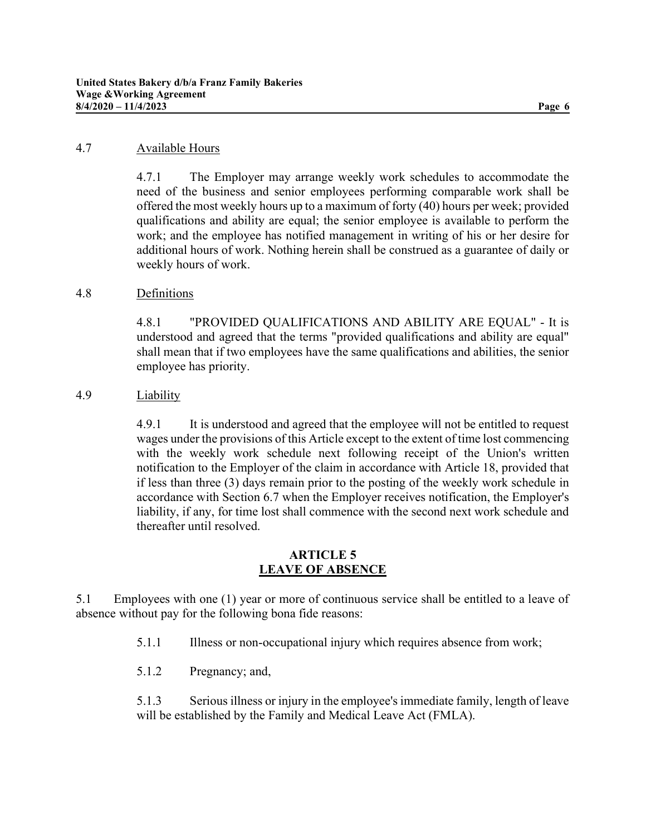#### 4.7 Available Hours

4.7.1 The Employer may arrange weekly work schedules to accommodate the need of the business and senior employees performing comparable work shall be offered the most weekly hours up to a maximum of forty (40) hours per week; provided qualifications and ability are equal; the senior employee is available to perform the work; and the employee has notified management in writing of his or her desire for additional hours of work. Nothing herein shall be construed as a guarantee of daily or weekly hours of work.

#### 4.8 Definitions

4.8.1 "PROVIDED QUALIFICATIONS AND ABILITY ARE EQUAL" - It is understood and agreed that the terms "provided qualifications and ability are equal" shall mean that if two employees have the same qualifications and abilities, the senior employee has priority.

#### 4.9 Liability

4.9.1 It is understood and agreed that the employee will not be entitled to request wages under the provisions of this Article except to the extent of time lost commencing with the weekly work schedule next following receipt of the Union's written notification to the Employer of the claim in accordance with Article 18, provided that if less than three (3) days remain prior to the posting of the weekly work schedule in accordance with Section 6.7 when the Employer receives notification, the Employer's liability, if any, for time lost shall commence with the second next work schedule and thereafter until resolved.

#### ARTICLE 5 LEAVE OF ABSENCE

5.1 Employees with one (1) year or more of continuous service shall be entitled to a leave of absence without pay for the following bona fide reasons:

5.1.1 Illness or non-occupational injury which requires absence from work;

5.1.2 Pregnancy; and,

5.1.3 Serious illness or injury in the employee's immediate family, length of leave will be established by the Family and Medical Leave Act (FMLA).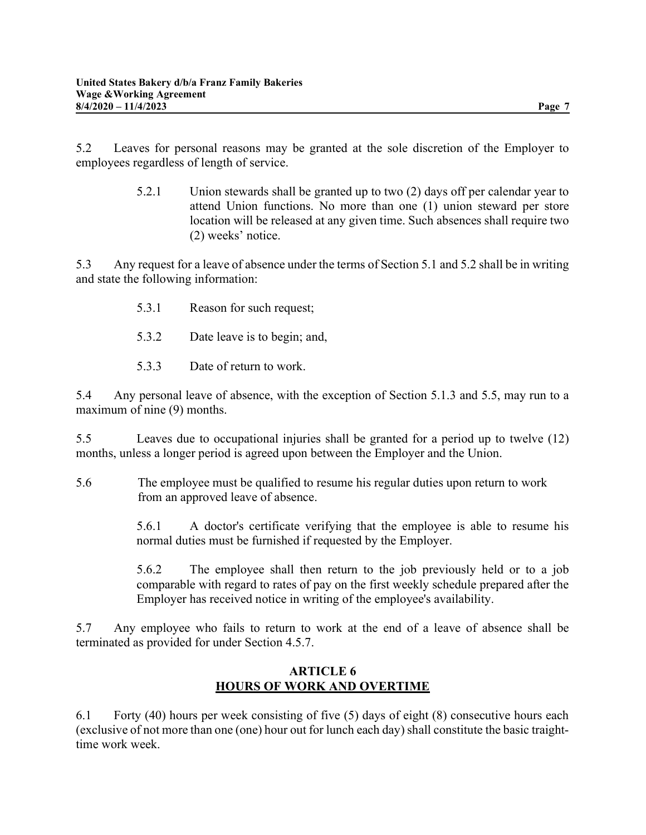5.2 Leaves for personal reasons may be granted at the sole discretion of the Employer to employees regardless of length of service.

> 5.2.1 Union stewards shall be granted up to two (2) days off per calendar year to attend Union functions. No more than one (1) union steward per store location will be released at any given time. Such absences shall require two (2) weeks' notice.

5.3 Any request for a leave of absence under the terms of Section 5.1 and 5.2 shall be in writing and state the following information:

- 5.3.1 Reason for such request;
- 5.3.2 Date leave is to begin; and,
- 5.3.3 Date of return to work.

5.4 Any personal leave of absence, with the exception of Section 5.1.3 and 5.5, may run to a maximum of nine (9) months.

5.5 Leaves due to occupational injuries shall be granted for a period up to twelve (12) months, unless a longer period is agreed upon between the Employer and the Union.

 5.6 The employee must be qualified to resume his regular duties upon return to work from an approved leave of absence.

> 5.6.1 A doctor's certificate verifying that the employee is able to resume his normal duties must be furnished if requested by the Employer.

> 5.6.2 The employee shall then return to the job previously held or to a job comparable with regard to rates of pay on the first weekly schedule prepared after the Employer has received notice in writing of the employee's availability.

5.7 Any employee who fails to return to work at the end of a leave of absence shall be terminated as provided for under Section 4.5.7.

#### ARTICLE 6 HOURS OF WORK AND OVERTIME

6.1 Forty (40) hours per week consisting of five (5) days of eight (8) consecutive hours each (exclusive of not more than one (one) hour out for lunch each day) shall constitute the basic traighttime work week.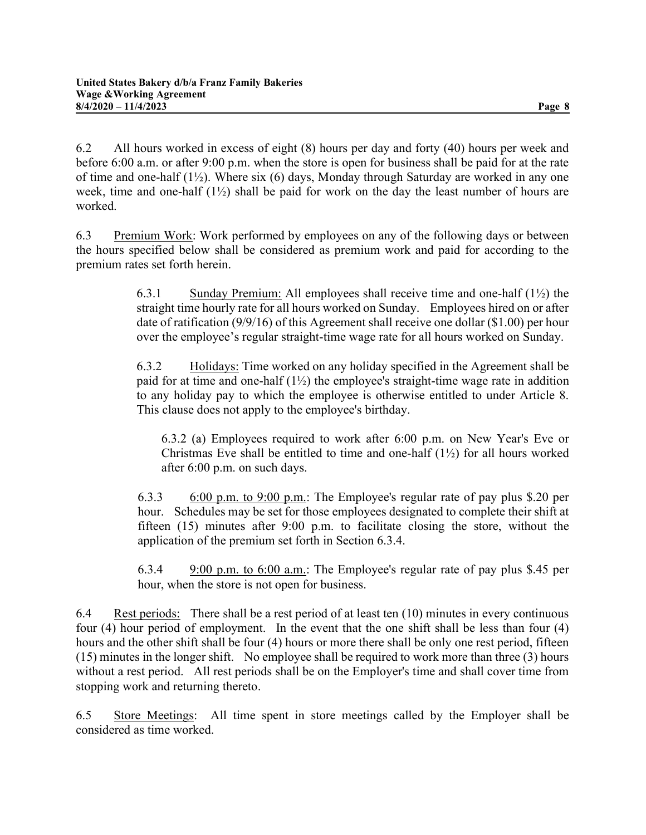6.2 All hours worked in excess of eight (8) hours per day and forty (40) hours per week and before 6:00 a.m. or after 9:00 p.m. when the store is open for business shall be paid for at the rate of time and one-half  $(1\frac{1}{2})$ . Where six  $(6)$  days, Monday through Saturday are worked in any one week, time and one-half (1½) shall be paid for work on the day the least number of hours are worked.

6.3 Premium Work: Work performed by employees on any of the following days or between the hours specified below shall be considered as premium work and paid for according to the premium rates set forth herein.

> 6.3.1 Sunday Premium: All employees shall receive time and one-half (1½) the straight time hourly rate for all hours worked on Sunday. Employees hired on or after date of ratification (9/9/16) of this Agreement shall receive one dollar (\$1.00) per hour over the employee's regular straight-time wage rate for all hours worked on Sunday.

> 6.3.2 Holidays: Time worked on any holiday specified in the Agreement shall be paid for at time and one-half  $(1\frac{1}{2})$  the employee's straight-time wage rate in addition to any holiday pay to which the employee is otherwise entitled to under Article 8. This clause does not apply to the employee's birthday.

6.3.2 (a) Employees required to work after 6:00 p.m. on New Year's Eve or Christmas Eve shall be entitled to time and one-half  $(1\frac{1}{2})$  for all hours worked after 6:00 p.m. on such days.

6.3.3 6:00 p.m. to 9:00 p.m.: The Employee's regular rate of pay plus \$.20 per hour. Schedules may be set for those employees designated to complete their shift at fifteen (15) minutes after 9:00 p.m. to facilitate closing the store, without the application of the premium set forth in Section 6.3.4.

6.3.4 9:00 p.m. to 6:00 a.m.: The Employee's regular rate of pay plus \$.45 per hour, when the store is not open for business.

6.4 Rest periods: There shall be a rest period of at least ten (10) minutes in every continuous four (4) hour period of employment. In the event that the one shift shall be less than four (4) hours and the other shift shall be four (4) hours or more there shall be only one rest period, fifteen (15) minutes in the longer shift. No employee shall be required to work more than three (3) hours without a rest period. All rest periods shall be on the Employer's time and shall cover time from stopping work and returning thereto.

6.5 Store Meetings: All time spent in store meetings called by the Employer shall be considered as time worked.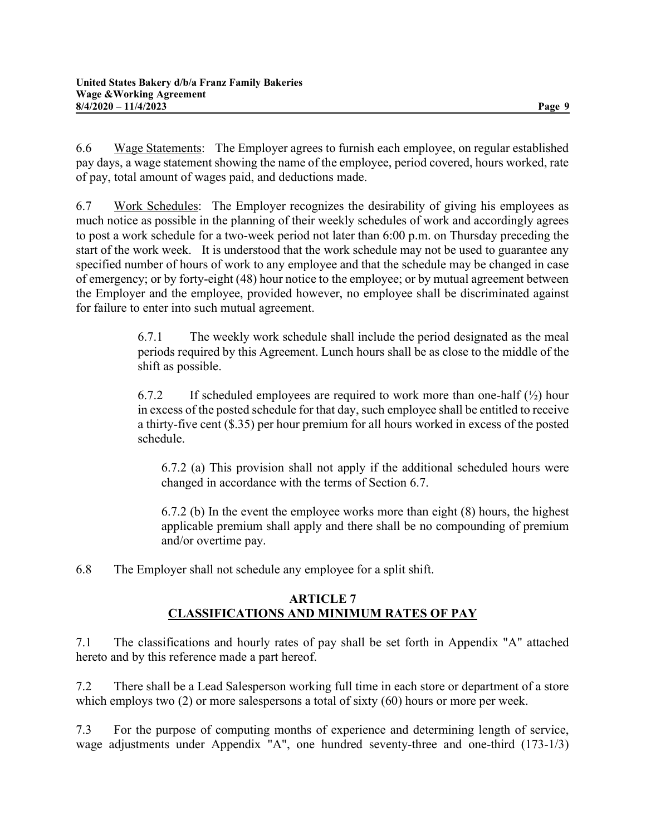6.6 Wage Statements: The Employer agrees to furnish each employee, on regular established pay days, a wage statement showing the name of the employee, period covered, hours worked, rate of pay, total amount of wages paid, and deductions made.

6.7 Work Schedules: The Employer recognizes the desirability of giving his employees as much notice as possible in the planning of their weekly schedules of work and accordingly agrees to post a work schedule for a two-week period not later than 6:00 p.m. on Thursday preceding the start of the work week. It is understood that the work schedule may not be used to guarantee any specified number of hours of work to any employee and that the schedule may be changed in case of emergency; or by forty-eight (48) hour notice to the employee; or by mutual agreement between the Employer and the employee, provided however, no employee shall be discriminated against for failure to enter into such mutual agreement.

> 6.7.1 The weekly work schedule shall include the period designated as the meal periods required by this Agreement. Lunch hours shall be as close to the middle of the shift as possible.

> 6.7.2 If scheduled employees are required to work more than one-half  $(\frac{1}{2})$  hour in excess of the posted schedule for that day, such employee shall be entitled to receive a thirty-five cent (\$.35) per hour premium for all hours worked in excess of the posted schedule.

6.7.2 (a) This provision shall not apply if the additional scheduled hours were changed in accordance with the terms of Section 6.7.

6.7.2 (b) In the event the employee works more than eight (8) hours, the highest applicable premium shall apply and there shall be no compounding of premium and/or overtime pay.

6.8 The Employer shall not schedule any employee for a split shift.

## ARTICLE 7 CLASSIFICATIONS AND MINIMUM RATES OF PAY

7.1 The classifications and hourly rates of pay shall be set forth in Appendix "A" attached hereto and by this reference made a part hereof.

7.2 There shall be a Lead Salesperson working full time in each store or department of a store which employs two (2) or more salespersons a total of sixty (60) hours or more per week.

7.3 For the purpose of computing months of experience and determining length of service, wage adjustments under Appendix "A", one hundred seventy-three and one-third (173-1/3)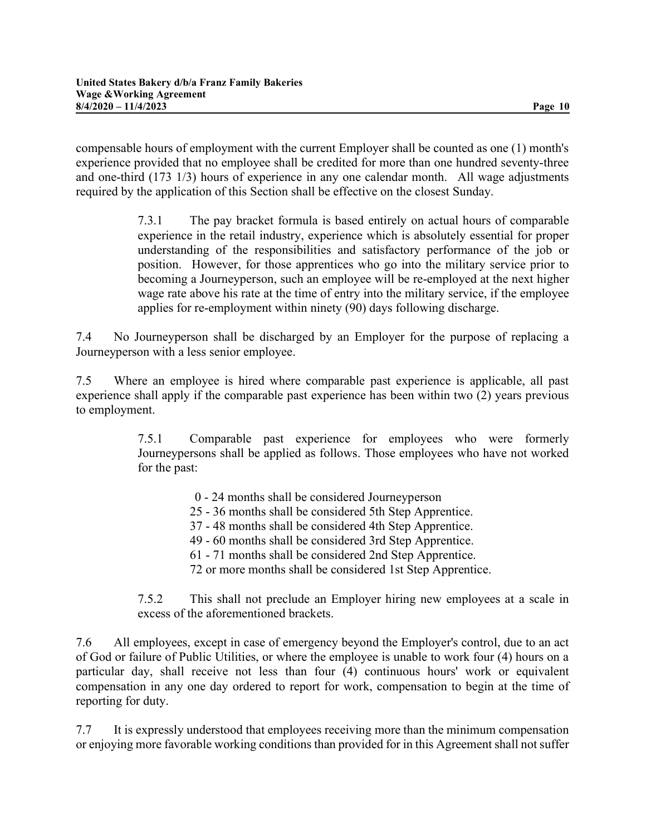compensable hours of employment with the current Employer shall be counted as one (1) month's experience provided that no employee shall be credited for more than one hundred seventy-three and one-third (173 1/3) hours of experience in any one calendar month. All wage adjustments required by the application of this Section shall be effective on the closest Sunday.

> 7.3.1 The pay bracket formula is based entirely on actual hours of comparable experience in the retail industry, experience which is absolutely essential for proper understanding of the responsibilities and satisfactory performance of the job or position. However, for those apprentices who go into the military service prior to becoming a Journeyperson, such an employee will be re-employed at the next higher wage rate above his rate at the time of entry into the military service, if the employee applies for re-employment within ninety (90) days following discharge.

7.4 No Journeyperson shall be discharged by an Employer for the purpose of replacing a Journeyperson with a less senior employee.

7.5 Where an employee is hired where comparable past experience is applicable, all past experience shall apply if the comparable past experience has been within two (2) years previous to employment.

> 7.5.1 Comparable past experience for employees who were formerly Journeypersons shall be applied as follows. Those employees who have not worked for the past:

- 0 24 months shall be considered Journeyperson
- 25 36 months shall be considered 5th Step Apprentice.
- 37 48 months shall be considered 4th Step Apprentice.
- 49 60 months shall be considered 3rd Step Apprentice.
- 61 71 months shall be considered 2nd Step Apprentice.
- 72 or more months shall be considered 1st Step Apprentice.

7.5.2 This shall not preclude an Employer hiring new employees at a scale in excess of the aforementioned brackets.

7.6 All employees, except in case of emergency beyond the Employer's control, due to an act of God or failure of Public Utilities, or where the employee is unable to work four (4) hours on a particular day, shall receive not less than four (4) continuous hours' work or equivalent compensation in any one day ordered to report for work, compensation to begin at the time of reporting for duty.

7.7 It is expressly understood that employees receiving more than the minimum compensation or enjoying more favorable working conditions than provided for in this Agreement shall not suffer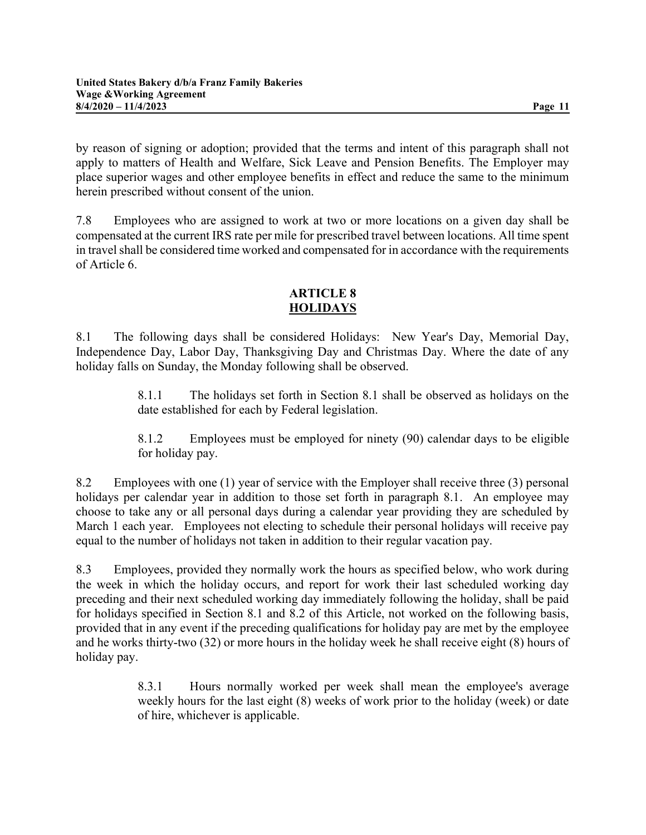by reason of signing or adoption; provided that the terms and intent of this paragraph shall not apply to matters of Health and Welfare, Sick Leave and Pension Benefits. The Employer may place superior wages and other employee benefits in effect and reduce the same to the minimum herein prescribed without consent of the union.

7.8 Employees who are assigned to work at two or more locations on a given day shall be compensated at the current IRS rate per mile for prescribed travel between locations. All time spent in travel shall be considered time worked and compensated for in accordance with the requirements of Article 6.

# ARTICLE 8 HOLIDAYS

8.1 The following days shall be considered Holidays: New Year's Day, Memorial Day, Independence Day, Labor Day, Thanksgiving Day and Christmas Day. Where the date of any holiday falls on Sunday, the Monday following shall be observed.

> 8.1.1 The holidays set forth in Section 8.1 shall be observed as holidays on the date established for each by Federal legislation.

> 8.1.2 Employees must be employed for ninety (90) calendar days to be eligible for holiday pay.

8.2 Employees with one (1) year of service with the Employer shall receive three (3) personal holidays per calendar year in addition to those set forth in paragraph 8.1. An employee may choose to take any or all personal days during a calendar year providing they are scheduled by March 1 each year. Employees not electing to schedule their personal holidays will receive pay equal to the number of holidays not taken in addition to their regular vacation pay.

8.3 Employees, provided they normally work the hours as specified below, who work during the week in which the holiday occurs, and report for work their last scheduled working day preceding and their next scheduled working day immediately following the holiday, shall be paid for holidays specified in Section 8.1 and 8.2 of this Article, not worked on the following basis, provided that in any event if the preceding qualifications for holiday pay are met by the employee and he works thirty-two (32) or more hours in the holiday week he shall receive eight (8) hours of holiday pay.

> 8.3.1 Hours normally worked per week shall mean the employee's average weekly hours for the last eight (8) weeks of work prior to the holiday (week) or date of hire, whichever is applicable.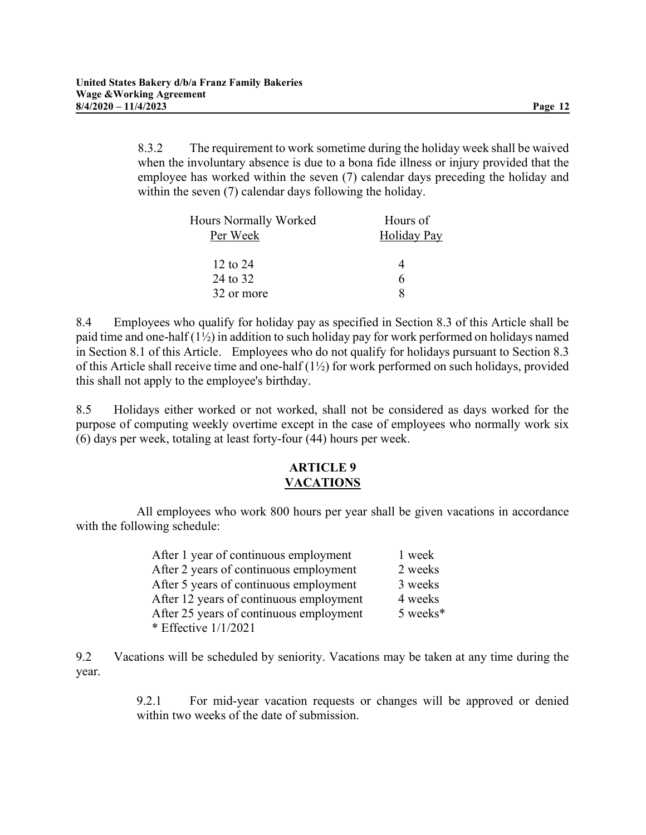8.3.2 The requirement to work sometime during the holiday week shall be waived when the involuntary absence is due to a bona fide illness or injury provided that the employee has worked within the seven (7) calendar days preceding the holiday and within the seven (7) calendar days following the holiday.

| Hours Normally Worked<br>Per Week | Hours of<br><b>Holiday Pay</b> |  |  |
|-----------------------------------|--------------------------------|--|--|
| 12 to $24$                        | 4                              |  |  |
| 24 to 32                          | 6                              |  |  |
| 32 or more                        |                                |  |  |

8.4 Employees who qualify for holiday pay as specified in Section 8.3 of this Article shall be paid time and one-half  $(1\frac{1}{2})$  in addition to such holiday pay for work performed on holidays named in Section 8.1 of this Article. Employees who do not qualify for holidays pursuant to Section 8.3 of this Article shall receive time and one-half (1½) for work performed on such holidays, provided this shall not apply to the employee's birthday.

8.5 Holidays either worked or not worked, shall not be considered as days worked for the purpose of computing weekly overtime except in the case of employees who normally work six (6) days per week, totaling at least forty-four (44) hours per week.

#### ARTICLE 9 VACATIONS

All employees who work 800 hours per year shall be given vacations in accordance with the following schedule:

| After 1 year of continuous employment   | 1 week   |
|-----------------------------------------|----------|
| After 2 years of continuous employment  | 2 weeks  |
| After 5 years of continuous employment  | 3 weeks  |
| After 12 years of continuous employment | 4 weeks  |
| After 25 years of continuous employment | 5 weeks* |
| * Effective 1/1/2021                    |          |

9.2 Vacations will be scheduled by seniority. Vacations may be taken at any time during the year.

> 9.2.1 For mid-year vacation requests or changes will be approved or denied within two weeks of the date of submission.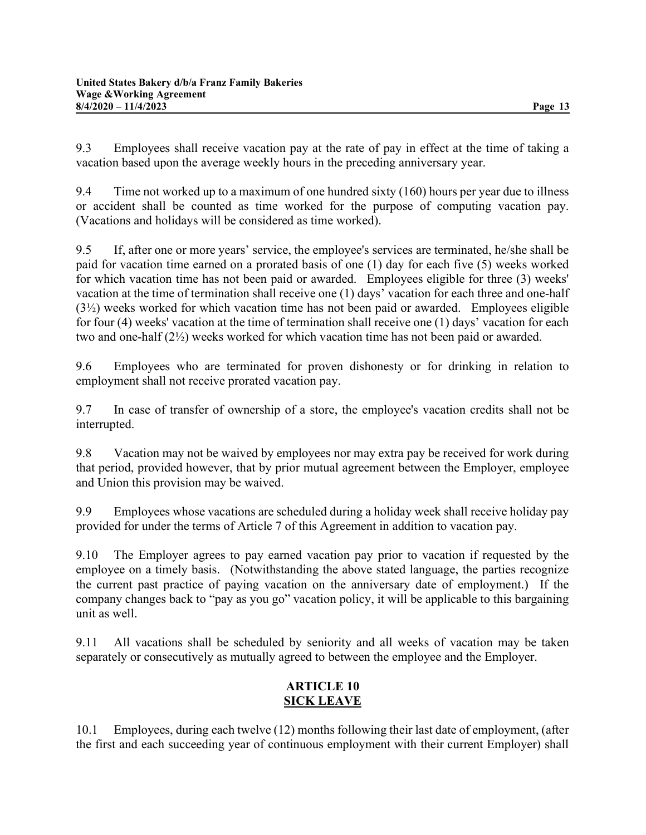9.3 Employees shall receive vacation pay at the rate of pay in effect at the time of taking a vacation based upon the average weekly hours in the preceding anniversary year.

9.4 Time not worked up to a maximum of one hundred sixty (160) hours per year due to illness or accident shall be counted as time worked for the purpose of computing vacation pay. (Vacations and holidays will be considered as time worked).

9.5 If, after one or more years' service, the employee's services are terminated, he/she shall be paid for vacation time earned on a prorated basis of one (1) day for each five (5) weeks worked for which vacation time has not been paid or awarded. Employees eligible for three (3) weeks' vacation at the time of termination shall receive one (1) days' vacation for each three and one-half (3½) weeks worked for which vacation time has not been paid or awarded. Employees eligible for four (4) weeks' vacation at the time of termination shall receive one (1) days' vacation for each two and one-half (2½) weeks worked for which vacation time has not been paid or awarded.

9.6 Employees who are terminated for proven dishonesty or for drinking in relation to employment shall not receive prorated vacation pay.

9.7 In case of transfer of ownership of a store, the employee's vacation credits shall not be interrupted.

9.8 Vacation may not be waived by employees nor may extra pay be received for work during that period, provided however, that by prior mutual agreement between the Employer, employee and Union this provision may be waived.

9.9 Employees whose vacations are scheduled during a holiday week shall receive holiday pay provided for under the terms of Article 7 of this Agreement in addition to vacation pay.

9.10 The Employer agrees to pay earned vacation pay prior to vacation if requested by the employee on a timely basis. (Notwithstanding the above stated language, the parties recognize the current past practice of paying vacation on the anniversary date of employment.) If the company changes back to "pay as you go" vacation policy, it will be applicable to this bargaining unit as well.

9.11 All vacations shall be scheduled by seniority and all weeks of vacation may be taken separately or consecutively as mutually agreed to between the employee and the Employer.

# ARTICLE 10 SICK LEAVE

10.1 Employees, during each twelve (12) months following their last date of employment, (after the first and each succeeding year of continuous employment with their current Employer) shall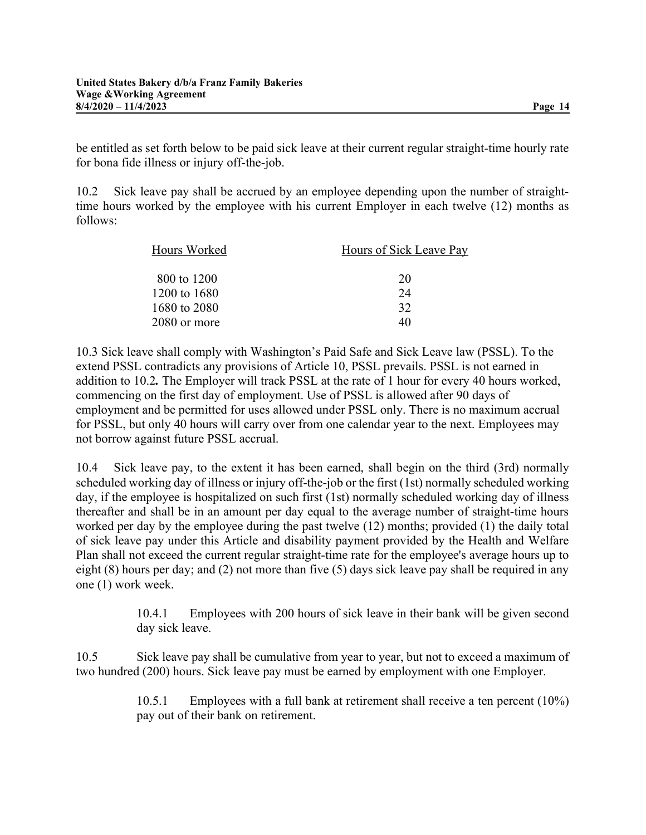be entitled as set forth below to be paid sick leave at their current regular straight-time hourly rate for bona fide illness or injury off-the-job.

10.2 Sick leave pay shall be accrued by an employee depending upon the number of straighttime hours worked by the employee with his current Employer in each twelve (12) months as follows:

| Hours Worked | Hours of Sick Leave Pay |  |  |  |
|--------------|-------------------------|--|--|--|
| 800 to 1200  | 20                      |  |  |  |
| 1200 to 1680 | 24                      |  |  |  |
| 1680 to 2080 | 32                      |  |  |  |
| 2080 or more | 40                      |  |  |  |

10.3 Sick leave shall comply with Washington's Paid Safe and Sick Leave law (PSSL). To the extend PSSL contradicts any provisions of Article 10, PSSL prevails. PSSL is not earned in addition to 10.2. The Employer will track PSSL at the rate of 1 hour for every 40 hours worked, commencing on the first day of employment. Use of PSSL is allowed after 90 days of employment and be permitted for uses allowed under PSSL only. There is no maximum accrual for PSSL, but only 40 hours will carry over from one calendar year to the next. Employees may not borrow against future PSSL accrual.

10.4 Sick leave pay, to the extent it has been earned, shall begin on the third (3rd) normally scheduled working day of illness or injury off-the-job or the first (1st) normally scheduled working day, if the employee is hospitalized on such first (1st) normally scheduled working day of illness thereafter and shall be in an amount per day equal to the average number of straight-time hours worked per day by the employee during the past twelve (12) months; provided (1) the daily total of sick leave pay under this Article and disability payment provided by the Health and Welfare Plan shall not exceed the current regular straight-time rate for the employee's average hours up to eight (8) hours per day; and (2) not more than five (5) days sick leave pay shall be required in any one (1) work week.

> 10.4.1 Employees with 200 hours of sick leave in their bank will be given second day sick leave.

10.5 Sick leave pay shall be cumulative from year to year, but not to exceed a maximum of two hundred (200) hours. Sick leave pay must be earned by employment with one Employer.

> 10.5.1 Employees with a full bank at retirement shall receive a ten percent (10%) pay out of their bank on retirement.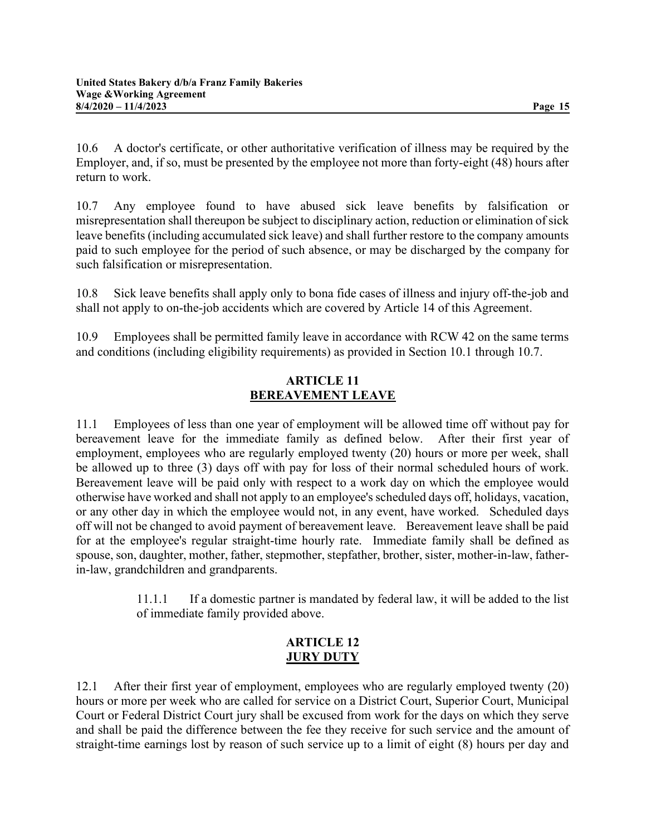10.6 A doctor's certificate, or other authoritative verification of illness may be required by the Employer, and, if so, must be presented by the employee not more than forty-eight (48) hours after return to work.

10.7 Any employee found to have abused sick leave benefits by falsification or misrepresentation shall thereupon be subject to disciplinary action, reduction or elimination of sick leave benefits (including accumulated sick leave) and shall further restore to the company amounts paid to such employee for the period of such absence, or may be discharged by the company for such falsification or misrepresentation.

10.8 Sick leave benefits shall apply only to bona fide cases of illness and injury off-the-job and shall not apply to on-the-job accidents which are covered by Article 14 of this Agreement.

10.9 Employees shall be permitted family leave in accordance with RCW 42 on the same terms and conditions (including eligibility requirements) as provided in Section 10.1 through 10.7.

## ARTICLE 11 BEREAVEMENT LEAVE

11.1 Employees of less than one year of employment will be allowed time off without pay for bereavement leave for the immediate family as defined below. After their first year of employment, employees who are regularly employed twenty (20) hours or more per week, shall be allowed up to three (3) days off with pay for loss of their normal scheduled hours of work. Bereavement leave will be paid only with respect to a work day on which the employee would otherwise have worked and shall not apply to an employee's scheduled days off, holidays, vacation, or any other day in which the employee would not, in any event, have worked. Scheduled days off will not be changed to avoid payment of bereavement leave. Bereavement leave shall be paid for at the employee's regular straight-time hourly rate. Immediate family shall be defined as spouse, son, daughter, mother, father, stepmother, stepfather, brother, sister, mother-in-law, fatherin-law, grandchildren and grandparents.

> 11.1.1 If a domestic partner is mandated by federal law, it will be added to the list of immediate family provided above.

#### ARTICLE 12 JURY DUTY

12.1 After their first year of employment, employees who are regularly employed twenty (20) hours or more per week who are called for service on a District Court, Superior Court, Municipal Court or Federal District Court jury shall be excused from work for the days on which they serve and shall be paid the difference between the fee they receive for such service and the amount of straight-time earnings lost by reason of such service up to a limit of eight (8) hours per day and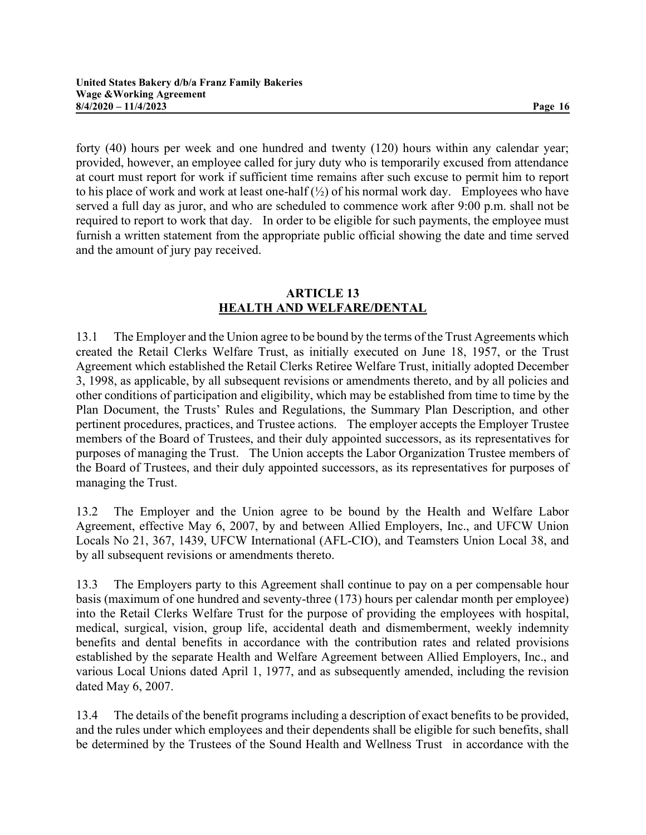forty (40) hours per week and one hundred and twenty (120) hours within any calendar year; provided, however, an employee called for jury duty who is temporarily excused from attendance at court must report for work if sufficient time remains after such excuse to permit him to report to his place of work and work at least one-half  $(\frac{1}{2})$  of his normal work day. Employees who have served a full day as juror, and who are scheduled to commence work after 9:00 p.m. shall not be required to report to work that day. In order to be eligible for such payments, the employee must furnish a written statement from the appropriate public official showing the date and time served and the amount of jury pay received.

## ARTICLE 13 HEALTH AND WELFARE/DENTAL

13.1 The Employer and the Union agree to be bound by the terms of the Trust Agreements which created the Retail Clerks Welfare Trust, as initially executed on June 18, 1957, or the Trust Agreement which established the Retail Clerks Retiree Welfare Trust, initially adopted December 3, 1998, as applicable, by all subsequent revisions or amendments thereto, and by all policies and other conditions of participation and eligibility, which may be established from time to time by the Plan Document, the Trusts' Rules and Regulations, the Summary Plan Description, and other pertinent procedures, practices, and Trustee actions. The employer accepts the Employer Trustee members of the Board of Trustees, and their duly appointed successors, as its representatives for purposes of managing the Trust. The Union accepts the Labor Organization Trustee members of the Board of Trustees, and their duly appointed successors, as its representatives for purposes of managing the Trust.

13.2 The Employer and the Union agree to be bound by the Health and Welfare Labor Agreement, effective May 6, 2007, by and between Allied Employers, Inc., and UFCW Union Locals No 21, 367, 1439, UFCW International (AFL-CIO), and Teamsters Union Local 38, and by all subsequent revisions or amendments thereto.

13.3 The Employers party to this Agreement shall continue to pay on a per compensable hour basis (maximum of one hundred and seventy-three (173) hours per calendar month per employee) into the Retail Clerks Welfare Trust for the purpose of providing the employees with hospital, medical, surgical, vision, group life, accidental death and dismemberment, weekly indemnity benefits and dental benefits in accordance with the contribution rates and related provisions established by the separate Health and Welfare Agreement between Allied Employers, Inc., and various Local Unions dated April 1, 1977, and as subsequently amended, including the revision dated May 6, 2007.

13.4 The details of the benefit programs including a description of exact benefits to be provided, and the rules under which employees and their dependents shall be eligible for such benefits, shall be determined by the Trustees of the Sound Health and Wellness Trust in accordance with the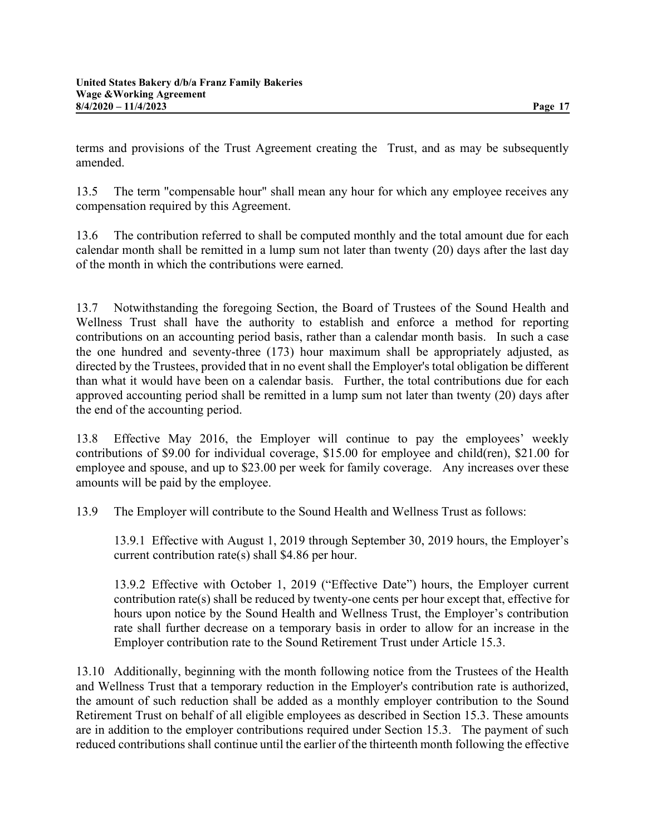terms and provisions of the Trust Agreement creating the Trust, and as may be subsequently amended.

13.5 The term "compensable hour" shall mean any hour for which any employee receives any compensation required by this Agreement.

13.6 The contribution referred to shall be computed monthly and the total amount due for each calendar month shall be remitted in a lump sum not later than twenty (20) days after the last day of the month in which the contributions were earned.

13.7 Notwithstanding the foregoing Section, the Board of Trustees of the Sound Health and Wellness Trust shall have the authority to establish and enforce a method for reporting contributions on an accounting period basis, rather than a calendar month basis. In such a case the one hundred and seventy-three (173) hour maximum shall be appropriately adjusted, as directed by the Trustees, provided that in no event shall the Employer's total obligation be different than what it would have been on a calendar basis. Further, the total contributions due for each approved accounting period shall be remitted in a lump sum not later than twenty (20) days after the end of the accounting period.

13.8 Effective May 2016, the Employer will continue to pay the employees' weekly contributions of \$9.00 for individual coverage, \$15.00 for employee and child(ren), \$21.00 for employee and spouse, and up to \$23.00 per week for family coverage. Any increases over these amounts will be paid by the employee.

13.9 The Employer will contribute to the Sound Health and Wellness Trust as follows:

13.9.1 Effective with August 1, 2019 through September 30, 2019 hours, the Employer's current contribution rate(s) shall \$4.86 per hour.

13.9.2 Effective with October 1, 2019 ("Effective Date") hours, the Employer current contribution rate(s) shall be reduced by twenty-one cents per hour except that, effective for hours upon notice by the Sound Health and Wellness Trust, the Employer's contribution rate shall further decrease on a temporary basis in order to allow for an increase in the Employer contribution rate to the Sound Retirement Trust under Article 15.3.

13.10 Additionally, beginning with the month following notice from the Trustees of the Health and Wellness Trust that a temporary reduction in the Employer's contribution rate is authorized, the amount of such reduction shall be added as a monthly employer contribution to the Sound Retirement Trust on behalf of all eligible employees as described in Section 15.3. These amounts are in addition to the employer contributions required under Section 15.3. The payment of such reduced contributions shall continue until the earlier of the thirteenth month following the effective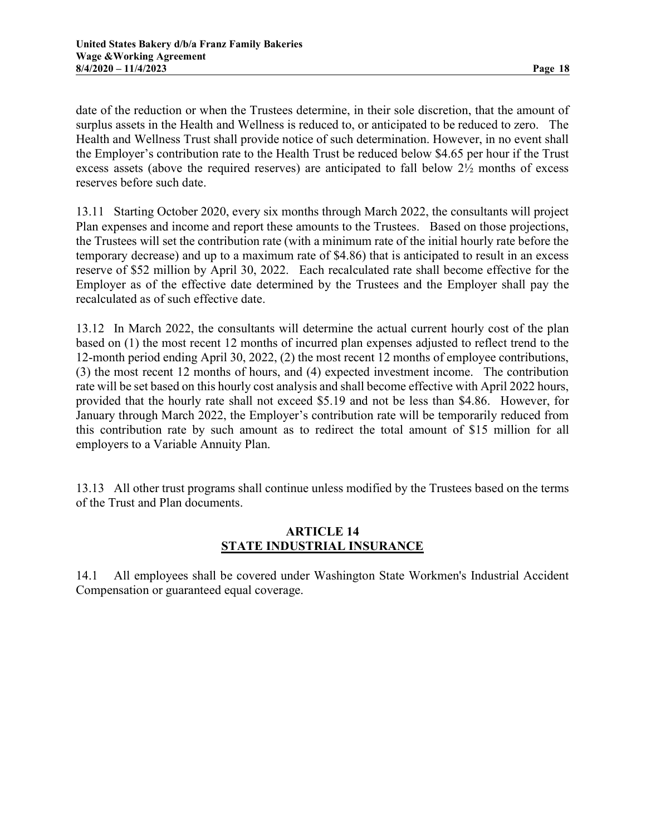date of the reduction or when the Trustees determine, in their sole discretion, that the amount of surplus assets in the Health and Wellness is reduced to, or anticipated to be reduced to zero. The Health and Wellness Trust shall provide notice of such determination. However, in no event shall the Employer's contribution rate to the Health Trust be reduced below \$4.65 per hour if the Trust excess assets (above the required reserves) are anticipated to fall below 2½ months of excess reserves before such date.

13.11 Starting October 2020, every six months through March 2022, the consultants will project Plan expenses and income and report these amounts to the Trustees. Based on those projections, the Trustees will set the contribution rate (with a minimum rate of the initial hourly rate before the temporary decrease) and up to a maximum rate of \$4.86) that is anticipated to result in an excess reserve of \$52 million by April 30, 2022. Each recalculated rate shall become effective for the Employer as of the effective date determined by the Trustees and the Employer shall pay the recalculated as of such effective date.

13.12 In March 2022, the consultants will determine the actual current hourly cost of the plan based on (1) the most recent 12 months of incurred plan expenses adjusted to reflect trend to the 12-month period ending April 30, 2022, (2) the most recent 12 months of employee contributions, (3) the most recent 12 months of hours, and (4) expected investment income. The contribution rate will be set based on this hourly cost analysis and shall become effective with April 2022 hours, provided that the hourly rate shall not exceed \$5.19 and not be less than \$4.86. However, for January through March 2022, the Employer's contribution rate will be temporarily reduced from this contribution rate by such amount as to redirect the total amount of \$15 million for all employers to a Variable Annuity Plan.

13.13 All other trust programs shall continue unless modified by the Trustees based on the terms of the Trust and Plan documents.

#### ARTICLE 14 STATE INDUSTRIAL INSURANCE

14.1 All employees shall be covered under Washington State Workmen's Industrial Accident Compensation or guaranteed equal coverage.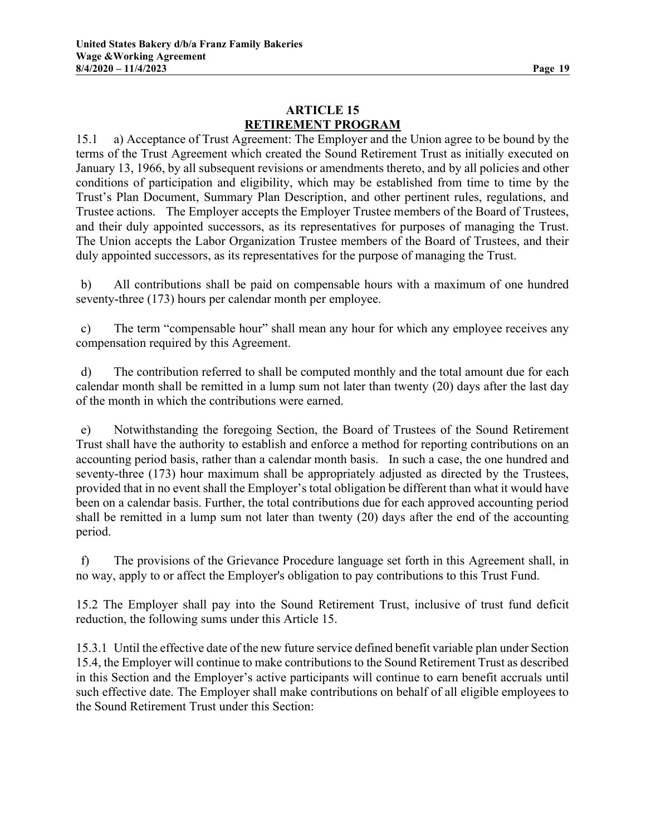# ARTICLE 15 RETIREMENT PROGRAM

15.1 a) Acceptance of Trust Agreement: The Employer and the Union agree to be bound by the terms of the Trust Agreement which created the Sound Retirement Trust as initially executed on January 13, 1966, by all subsequent revisions or amendments thereto, and by all policies and other conditions of participation and eligibility, which may be established from time to time by the Trust's Plan Document, Summary Plan Description, and other pertinent rules, regulations, and Trustee actions. The Employer accepts the Employer Trustee members of the Board of Trustees, and their duly appointed successors, as its representatives for purposes of managing the Trust. The Union accepts the Labor Organization Trustee members of the Board of Trustees, and their duly appointed successors, as its representatives for the purpose of managing the Trust.

 b) All contributions shall be paid on compensable hours with a maximum of one hundred seventy-three (173) hours per calendar month per employee.

 c) The term "compensable hour" shall mean any hour for which any employee receives any compensation required by this Agreement.

 d) The contribution referred to shall be computed monthly and the total amount due for each calendar month shall be remitted in a lump sum not later than twenty (20) days after the last day of the month in which the contributions were earned.

 e) Notwithstanding the foregoing Section, the Board of Trustees of the Sound Retirement Trust shall have the authority to establish and enforce a method for reporting contributions on an accounting period basis, rather than a calendar month basis. In such a case, the one hundred and seventy-three (173) hour maximum shall be appropriately adjusted as directed by the Trustees, provided that in no event shall the Employer's total obligation be different than what it would have been on a calendar basis. Further, the total contributions due for each approved accounting period shall be remitted in a lump sum not later than twenty (20) days after the end of the accounting period.

 f) The provisions of the Grievance Procedure language set forth in this Agreement shall, in no way, apply to or affect the Employer's obligation to pay contributions to this Trust Fund.

15.2 The Employer shall pay into the Sound Retirement Trust, inclusive of trust fund deficit reduction, the following sums under this Article 15.

15.3.1 Until the effective date of the new future service defined benefit variable plan under Section 15.4, the Employer will continue to make contributions to the Sound Retirement Trust as described in this Section and the Employer's active participants will continue to earn benefit accruals until such effective date. The Employer shall make contributions on behalf of all eligible employees to the Sound Retirement Trust under this Section: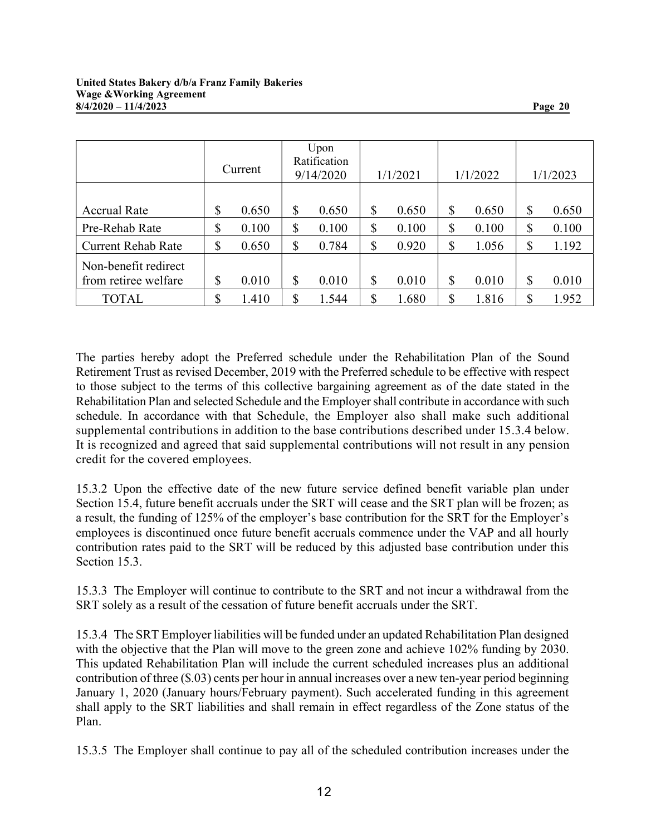|                           | Current     | Upon<br>Ratification<br>9/14/2020 |       | 1/1/2021 |       | 1/1/2022 |       | 1/1/2023 |       |
|---------------------------|-------------|-----------------------------------|-------|----------|-------|----------|-------|----------|-------|
|                           |             |                                   |       |          |       |          |       |          |       |
| <b>Accrual Rate</b>       | \$<br>0.650 | \$                                | 0.650 | \$       | 0.650 | \$       | 0.650 | \$       | 0.650 |
| Pre-Rehab Rate            | \$<br>0.100 | \$                                | 0.100 | \$       | 0.100 | \$       | 0.100 | \$       | 0.100 |
| <b>Current Rehab Rate</b> | \$<br>0.650 | \$                                | 0.784 | \$       | 0.920 | \$       | 1.056 | \$       | 1.192 |
| Non-benefit redirect      |             |                                   |       |          |       |          |       |          |       |
| from retiree welfare      | \$<br>0.010 | \$                                | 0.010 | \$       | 0.010 | \$       | 0.010 | \$       | 0.010 |
| <b>TOTAL</b>              | \$<br>1.410 | \$                                | 1.544 | \$       | 1.680 | \$       | 1.816 | S        | 1.952 |

The parties hereby adopt the Preferred schedule under the Rehabilitation Plan of the Sound Retirement Trust as revised December, 2019 with the Preferred schedule to be effective with respect to those subject to the terms of this collective bargaining agreement as of the date stated in the Rehabilitation Plan and selected Schedule and the Employer shall contribute in accordance with such schedule. In accordance with that Schedule, the Employer also shall make such additional supplemental contributions in addition to the base contributions described under 15.3.4 below. It is recognized and agreed that said supplemental contributions will not result in any pension credit for the covered employees.

15.3.2 Upon the effective date of the new future service defined benefit variable plan under Section 15.4, future benefit accruals under the SRT will cease and the SRT plan will be frozen; as a result, the funding of 125% of the employer's base contribution for the SRT for the Employer's employees is discontinued once future benefit accruals commence under the VAP and all hourly contribution rates paid to the SRT will be reduced by this adjusted base contribution under this Section 15.3.

15.3.3 The Employer will continue to contribute to the SRT and not incur a withdrawal from the SRT solely as a result of the cessation of future benefit accruals under the SRT.

15.3.4 The SRT Employer liabilities will be funded under an updated Rehabilitation Plan designed with the objective that the Plan will move to the green zone and achieve 102% funding by 2030. This updated Rehabilitation Plan will include the current scheduled increases plus an additional contribution of three (\$.03) cents per hour in annual increases over a new ten-year period beginning January 1, 2020 (January hours/February payment). Such accelerated funding in this agreement shall apply to the SRT liabilities and shall remain in effect regardless of the Zone status of the Plan.

15.3.5 The Employer shall continue to pay all of the scheduled contribution increases under the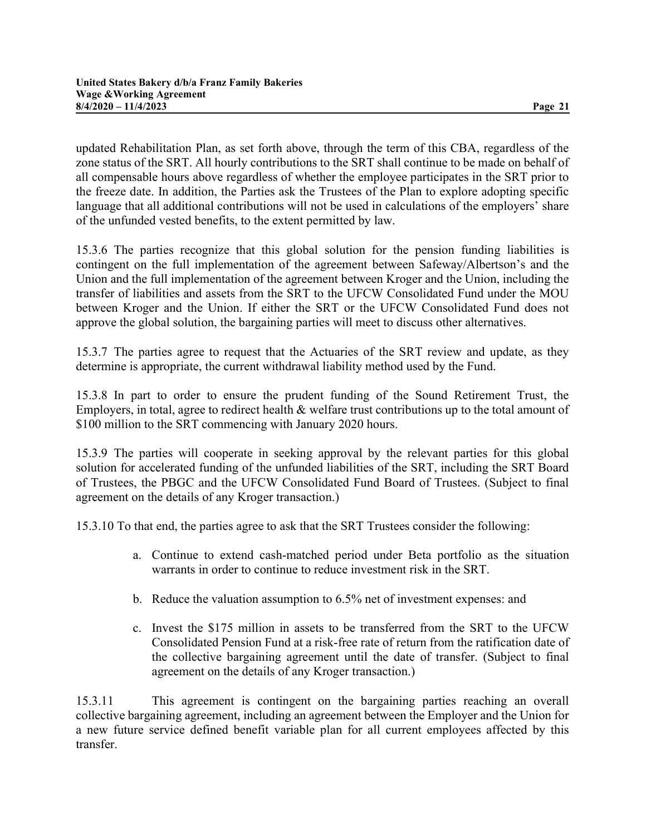updated Rehabilitation Plan, as set forth above, through the term of this CBA, regardless of the zone status of the SRT. All hourly contributions to the SRT shall continue to be made on behalf of all compensable hours above regardless of whether the employee participates in the SRT prior to the freeze date. In addition, the Parties ask the Trustees of the Plan to explore adopting specific language that all additional contributions will not be used in calculations of the employers' share of the unfunded vested benefits, to the extent permitted by law.

15.3.6 The parties recognize that this global solution for the pension funding liabilities is contingent on the full implementation of the agreement between Safeway/Albertson's and the Union and the full implementation of the agreement between Kroger and the Union, including the transfer of liabilities and assets from the SRT to the UFCW Consolidated Fund under the MOU between Kroger and the Union. If either the SRT or the UFCW Consolidated Fund does not approve the global solution, the bargaining parties will meet to discuss other alternatives.

15.3.7 The parties agree to request that the Actuaries of the SRT review and update, as they determine is appropriate, the current withdrawal liability method used by the Fund.

15.3.8 In part to order to ensure the prudent funding of the Sound Retirement Trust, the Employers, in total, agree to redirect health & welfare trust contributions up to the total amount of \$100 million to the SRT commencing with January 2020 hours.

15.3.9 The parties will cooperate in seeking approval by the relevant parties for this global solution for accelerated funding of the unfunded liabilities of the SRT, including the SRT Board of Trustees, the PBGC and the UFCW Consolidated Fund Board of Trustees. (Subject to final agreement on the details of any Kroger transaction.)

15.3.10 To that end, the parties agree to ask that the SRT Trustees consider the following:

- a. Continue to extend cash-matched period under Beta portfolio as the situation warrants in order to continue to reduce investment risk in the SRT.
- b. Reduce the valuation assumption to 6.5% net of investment expenses: and
- c. Invest the \$175 million in assets to be transferred from the SRT to the UFCW Consolidated Pension Fund at a risk-free rate of return from the ratification date of the collective bargaining agreement until the date of transfer. (Subject to final agreement on the details of any Kroger transaction.)

15.3.11 This agreement is contingent on the bargaining parties reaching an overall collective bargaining agreement, including an agreement between the Employer and the Union for a new future service defined benefit variable plan for all current employees affected by this transfer.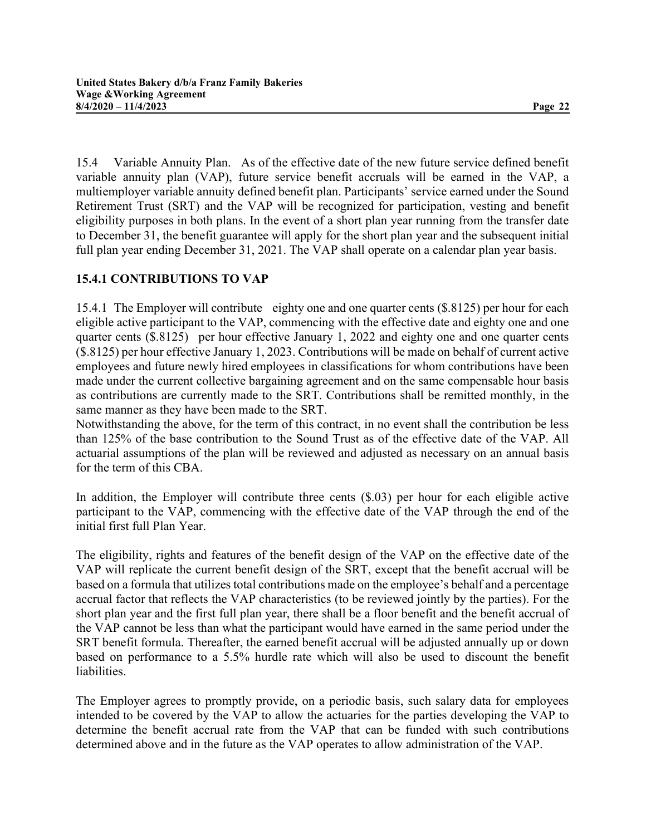15.4 Variable Annuity Plan. As of the effective date of the new future service defined benefit variable annuity plan (VAP), future service benefit accruals will be earned in the VAP, a multiemployer variable annuity defined benefit plan. Participants' service earned under the Sound Retirement Trust (SRT) and the VAP will be recognized for participation, vesting and benefit eligibility purposes in both plans. In the event of a short plan year running from the transfer date to December 31, the benefit guarantee will apply for the short plan year and the subsequent initial full plan year ending December 31, 2021. The VAP shall operate on a calendar plan year basis.

# 15.4.1 CONTRIBUTIONS TO VAP

15.4.1 The Employer will contribute eighty one and one quarter cents (\$.8125) per hour for each eligible active participant to the VAP, commencing with the effective date and eighty one and one quarter cents (\$.8125) per hour effective January 1, 2022 and eighty one and one quarter cents (\$.8125) per hour effective January 1, 2023. Contributions will be made on behalf of current active employees and future newly hired employees in classifications for whom contributions have been made under the current collective bargaining agreement and on the same compensable hour basis as contributions are currently made to the SRT. Contributions shall be remitted monthly, in the same manner as they have been made to the SRT.

Notwithstanding the above, for the term of this contract, in no event shall the contribution be less than 125% of the base contribution to the Sound Trust as of the effective date of the VAP. All actuarial assumptions of the plan will be reviewed and adjusted as necessary on an annual basis for the term of this CBA.

In addition, the Employer will contribute three cents (\$.03) per hour for each eligible active participant to the VAP, commencing with the effective date of the VAP through the end of the initial first full Plan Year.

The eligibility, rights and features of the benefit design of the VAP on the effective date of the VAP will replicate the current benefit design of the SRT, except that the benefit accrual will be based on a formula that utilizes total contributions made on the employee's behalf and a percentage accrual factor that reflects the VAP characteristics (to be reviewed jointly by the parties). For the short plan year and the first full plan year, there shall be a floor benefit and the benefit accrual of the VAP cannot be less than what the participant would have earned in the same period under the SRT benefit formula. Thereafter, the earned benefit accrual will be adjusted annually up or down based on performance to a 5.5% hurdle rate which will also be used to discount the benefit liabilities.

The Employer agrees to promptly provide, on a periodic basis, such salary data for employees intended to be covered by the VAP to allow the actuaries for the parties developing the VAP to determine the benefit accrual rate from the VAP that can be funded with such contributions determined above and in the future as the VAP operates to allow administration of the VAP.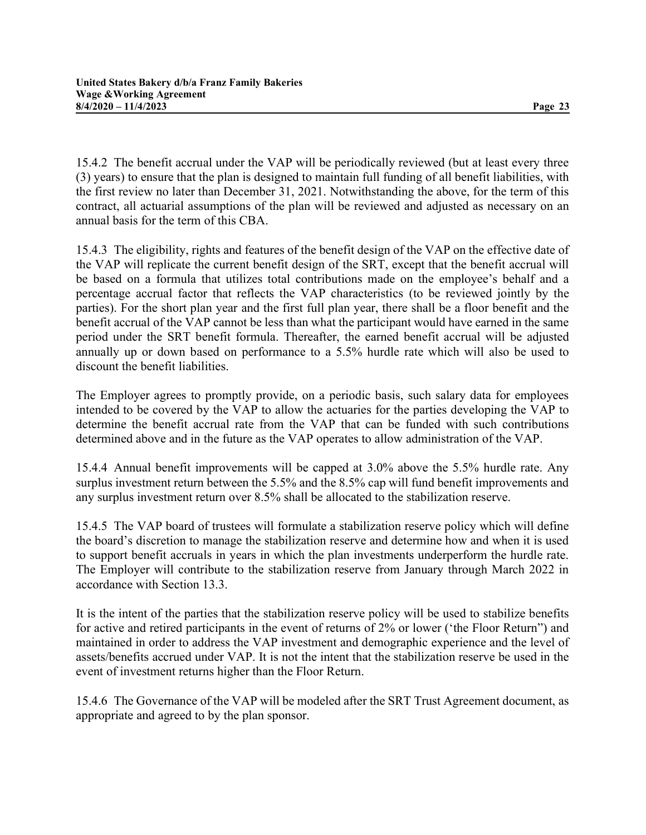15.4.2 The benefit accrual under the VAP will be periodically reviewed (but at least every three (3) years) to ensure that the plan is designed to maintain full funding of all benefit liabilities, with the first review no later than December 31, 2021. Notwithstanding the above, for the term of this contract, all actuarial assumptions of the plan will be reviewed and adjusted as necessary on an annual basis for the term of this CBA.

15.4.3 The eligibility, rights and features of the benefit design of the VAP on the effective date of the VAP will replicate the current benefit design of the SRT, except that the benefit accrual will be based on a formula that utilizes total contributions made on the employee's behalf and a percentage accrual factor that reflects the VAP characteristics (to be reviewed jointly by the parties). For the short plan year and the first full plan year, there shall be a floor benefit and the benefit accrual of the VAP cannot be less than what the participant would have earned in the same period under the SRT benefit formula. Thereafter, the earned benefit accrual will be adjusted annually up or down based on performance to a 5.5% hurdle rate which will also be used to discount the benefit liabilities.

The Employer agrees to promptly provide, on a periodic basis, such salary data for employees intended to be covered by the VAP to allow the actuaries for the parties developing the VAP to determine the benefit accrual rate from the VAP that can be funded with such contributions determined above and in the future as the VAP operates to allow administration of the VAP.

15.4.4 Annual benefit improvements will be capped at 3.0% above the 5.5% hurdle rate. Any surplus investment return between the 5.5% and the 8.5% cap will fund benefit improvements and any surplus investment return over 8.5% shall be allocated to the stabilization reserve.

15.4.5 The VAP board of trustees will formulate a stabilization reserve policy which will define the board's discretion to manage the stabilization reserve and determine how and when it is used to support benefit accruals in years in which the plan investments underperform the hurdle rate. The Employer will contribute to the stabilization reserve from January through March 2022 in accordance with Section 13.3.

It is the intent of the parties that the stabilization reserve policy will be used to stabilize benefits for active and retired participants in the event of returns of 2% or lower ('the Floor Return") and maintained in order to address the VAP investment and demographic experience and the level of assets/benefits accrued under VAP. It is not the intent that the stabilization reserve be used in the event of investment returns higher than the Floor Return.

15.4.6 The Governance of the VAP will be modeled after the SRT Trust Agreement document, as appropriate and agreed to by the plan sponsor.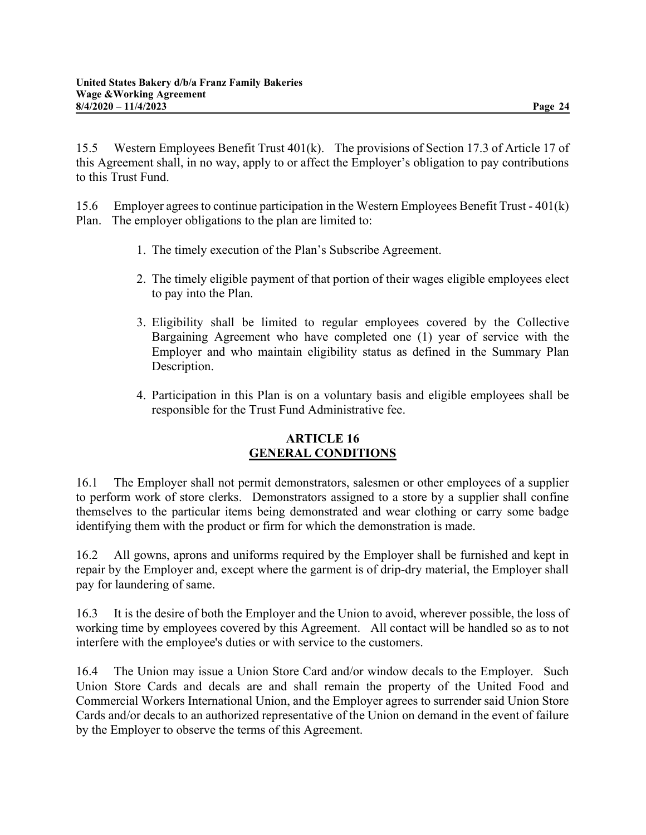15.5 Western Employees Benefit Trust 401(k). The provisions of Section 17.3 of Article 17 of this Agreement shall, in no way, apply to or affect the Employer's obligation to pay contributions to this Trust Fund.

15.6 Employer agrees to continue participation in the Western Employees Benefit Trust - 401(k) Plan. The employer obligations to the plan are limited to:

- 1. The timely execution of the Plan's Subscribe Agreement.
- 2. The timely eligible payment of that portion of their wages eligible employees elect to pay into the Plan.
- 3. Eligibility shall be limited to regular employees covered by the Collective Bargaining Agreement who have completed one (1) year of service with the Employer and who maintain eligibility status as defined in the Summary Plan Description.
- 4. Participation in this Plan is on a voluntary basis and eligible employees shall be responsible for the Trust Fund Administrative fee.

#### ARTICLE 16 GENERAL CONDITIONS

16.1 The Employer shall not permit demonstrators, salesmen or other employees of a supplier to perform work of store clerks. Demonstrators assigned to a store by a supplier shall confine themselves to the particular items being demonstrated and wear clothing or carry some badge identifying them with the product or firm for which the demonstration is made.

16.2 All gowns, aprons and uniforms required by the Employer shall be furnished and kept in repair by the Employer and, except where the garment is of drip-dry material, the Employer shall pay for laundering of same.

16.3 It is the desire of both the Employer and the Union to avoid, wherever possible, the loss of working time by employees covered by this Agreement. All contact will be handled so as to not interfere with the employee's duties or with service to the customers.

16.4 The Union may issue a Union Store Card and/or window decals to the Employer. Such Union Store Cards and decals are and shall remain the property of the United Food and Commercial Workers International Union, and the Employer agrees to surrender said Union Store Cards and/or decals to an authorized representative of the Union on demand in the event of failure by the Employer to observe the terms of this Agreement.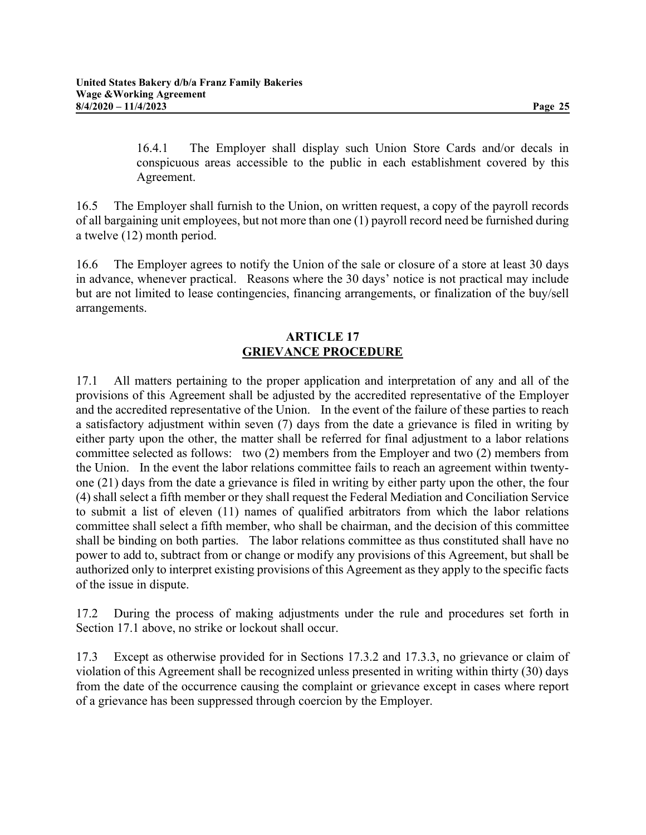16.4.1 The Employer shall display such Union Store Cards and/or decals in conspicuous areas accessible to the public in each establishment covered by this Agreement.

16.5 The Employer shall furnish to the Union, on written request, a copy of the payroll records of all bargaining unit employees, but not more than one (1) payroll record need be furnished during a twelve (12) month period.

16.6 The Employer agrees to notify the Union of the sale or closure of a store at least 30 days in advance, whenever practical. Reasons where the 30 days' notice is not practical may include but are not limited to lease contingencies, financing arrangements, or finalization of the buy/sell arrangements.

#### ARTICLE 17 GRIEVANCE PROCEDURE

17.1 All matters pertaining to the proper application and interpretation of any and all of the provisions of this Agreement shall be adjusted by the accredited representative of the Employer and the accredited representative of the Union. In the event of the failure of these parties to reach a satisfactory adjustment within seven (7) days from the date a grievance is filed in writing by either party upon the other, the matter shall be referred for final adjustment to a labor relations committee selected as follows: two (2) members from the Employer and two (2) members from the Union. In the event the labor relations committee fails to reach an agreement within twentyone (21) days from the date a grievance is filed in writing by either party upon the other, the four (4) shall select a fifth member or they shall request the Federal Mediation and Conciliation Service to submit a list of eleven (11) names of qualified arbitrators from which the labor relations committee shall select a fifth member, who shall be chairman, and the decision of this committee shall be binding on both parties. The labor relations committee as thus constituted shall have no power to add to, subtract from or change or modify any provisions of this Agreement, but shall be authorized only to interpret existing provisions of this Agreement as they apply to the specific facts of the issue in dispute.

17.2 During the process of making adjustments under the rule and procedures set forth in Section 17.1 above, no strike or lockout shall occur.

17.3 Except as otherwise provided for in Sections 17.3.2 and 17.3.3, no grievance or claim of violation of this Agreement shall be recognized unless presented in writing within thirty (30) days from the date of the occurrence causing the complaint or grievance except in cases where report of a grievance has been suppressed through coercion by the Employer.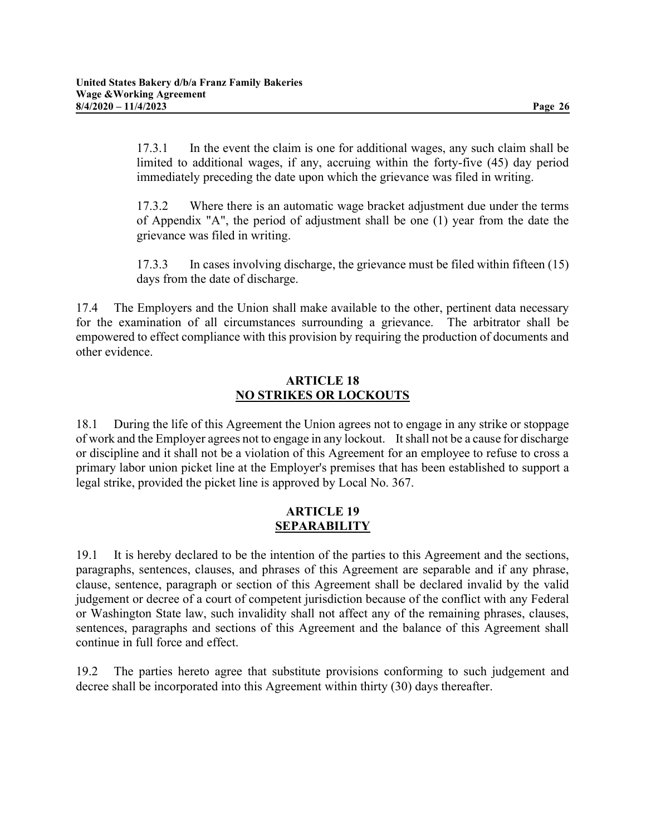17.3.1 In the event the claim is one for additional wages, any such claim shall be limited to additional wages, if any, accruing within the forty-five (45) day period immediately preceding the date upon which the grievance was filed in writing.

17.3.2 Where there is an automatic wage bracket adjustment due under the terms of Appendix "A", the period of adjustment shall be one (1) year from the date the grievance was filed in writing.

17.3.3 In cases involving discharge, the grievance must be filed within fifteen (15) days from the date of discharge.

17.4 The Employers and the Union shall make available to the other, pertinent data necessary for the examination of all circumstances surrounding a grievance. The arbitrator shall be empowered to effect compliance with this provision by requiring the production of documents and other evidence.

# ARTICLE 18 NO STRIKES OR LOCKOUTS

18.1 During the life of this Agreement the Union agrees not to engage in any strike or stoppage of work and the Employer agrees not to engage in any lockout. It shall not be a cause for discharge or discipline and it shall not be a violation of this Agreement for an employee to refuse to cross a primary labor union picket line at the Employer's premises that has been established to support a legal strike, provided the picket line is approved by Local No. 367.

#### ARTICLE 19 **SEPARABILITY**

19.1 It is hereby declared to be the intention of the parties to this Agreement and the sections, paragraphs, sentences, clauses, and phrases of this Agreement are separable and if any phrase, clause, sentence, paragraph or section of this Agreement shall be declared invalid by the valid judgement or decree of a court of competent jurisdiction because of the conflict with any Federal or Washington State law, such invalidity shall not affect any of the remaining phrases, clauses, sentences, paragraphs and sections of this Agreement and the balance of this Agreement shall continue in full force and effect.

19.2 The parties hereto agree that substitute provisions conforming to such judgement and decree shall be incorporated into this Agreement within thirty (30) days thereafter.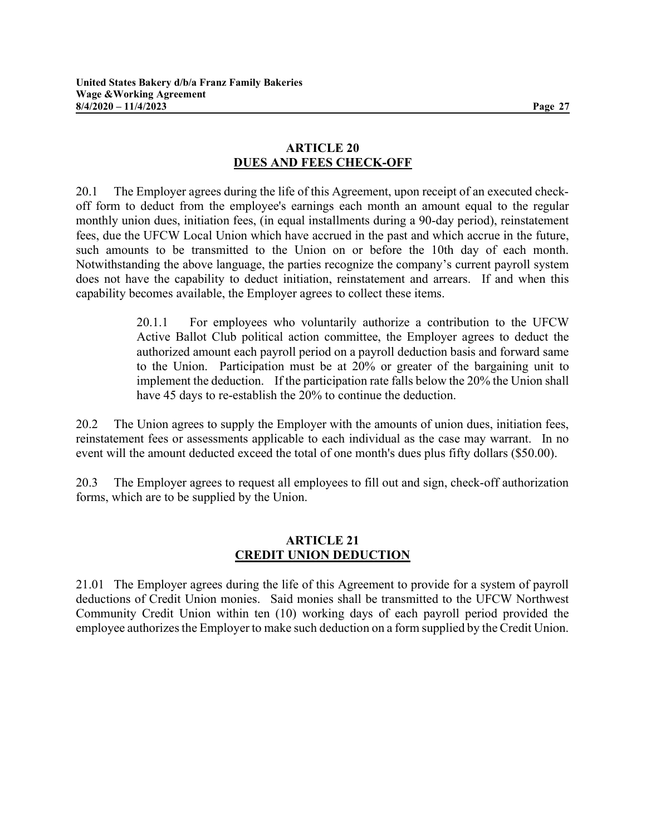# ARTICLE 20 DUES AND FEES CHECK-OFF

20.1 The Employer agrees during the life of this Agreement, upon receipt of an executed checkoff form to deduct from the employee's earnings each month an amount equal to the regular monthly union dues, initiation fees, (in equal installments during a 90-day period), reinstatement fees, due the UFCW Local Union which have accrued in the past and which accrue in the future, such amounts to be transmitted to the Union on or before the 10th day of each month. Notwithstanding the above language, the parties recognize the company's current payroll system does not have the capability to deduct initiation, reinstatement and arrears. If and when this capability becomes available, the Employer agrees to collect these items.

> 20.1.1 For employees who voluntarily authorize a contribution to the UFCW Active Ballot Club political action committee, the Employer agrees to deduct the authorized amount each payroll period on a payroll deduction basis and forward same to the Union. Participation must be at 20% or greater of the bargaining unit to implement the deduction. If the participation rate falls below the 20% the Union shall have 45 days to re-establish the 20% to continue the deduction.

20.2 The Union agrees to supply the Employer with the amounts of union dues, initiation fees, reinstatement fees or assessments applicable to each individual as the case may warrant. In no event will the amount deducted exceed the total of one month's dues plus fifty dollars (\$50.00).

20.3 The Employer agrees to request all employees to fill out and sign, check-off authorization forms, which are to be supplied by the Union.

#### ARTICLE 21 CREDIT UNION DEDUCTION

21.01 The Employer agrees during the life of this Agreement to provide for a system of payroll deductions of Credit Union monies. Said monies shall be transmitted to the UFCW Northwest Community Credit Union within ten (10) working days of each payroll period provided the employee authorizes the Employer to make such deduction on a form supplied by the Credit Union.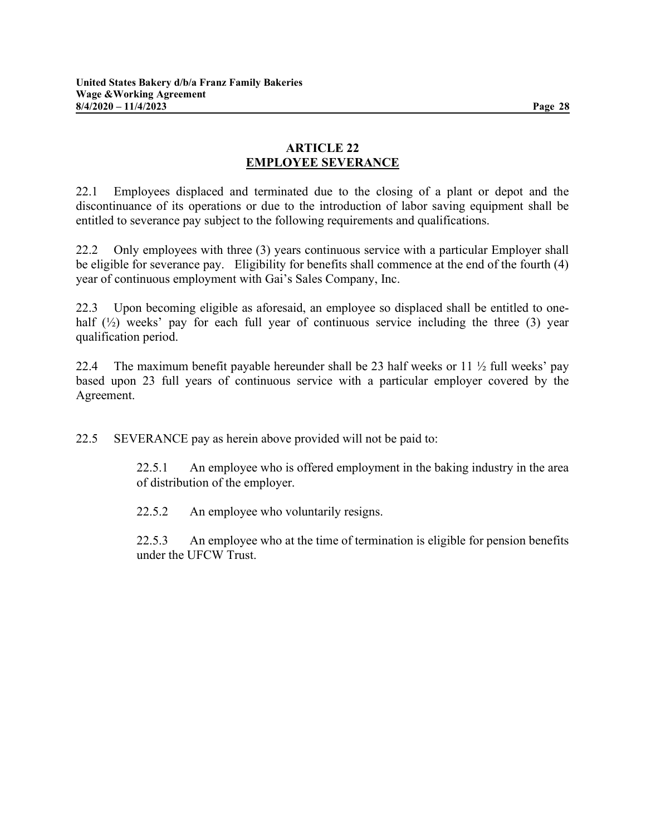# ARTICLE 22 EMPLOYEE SEVERANCE

22.1 Employees displaced and terminated due to the closing of a plant or depot and the discontinuance of its operations or due to the introduction of labor saving equipment shall be entitled to severance pay subject to the following requirements and qualifications.

22.2 Only employees with three (3) years continuous service with a particular Employer shall be eligible for severance pay. Eligibility for benefits shall commence at the end of the fourth (4) year of continuous employment with Gai's Sales Company, Inc.

22.3 Upon becoming eligible as aforesaid, an employee so displaced shall be entitled to onehalf (1/2) weeks' pay for each full year of continuous service including the three (3) year qualification period.

22.4 The maximum benefit payable hereunder shall be 23 half weeks or 11  $\frac{1}{2}$  full weeks' pay based upon 23 full years of continuous service with a particular employer covered by the Agreement.

22.5 SEVERANCE pay as herein above provided will not be paid to:

22.5.1 An employee who is offered employment in the baking industry in the area of distribution of the employer.

22.5.2 An employee who voluntarily resigns.

22.5.3 An employee who at the time of termination is eligible for pension benefits under the UFCW Trust.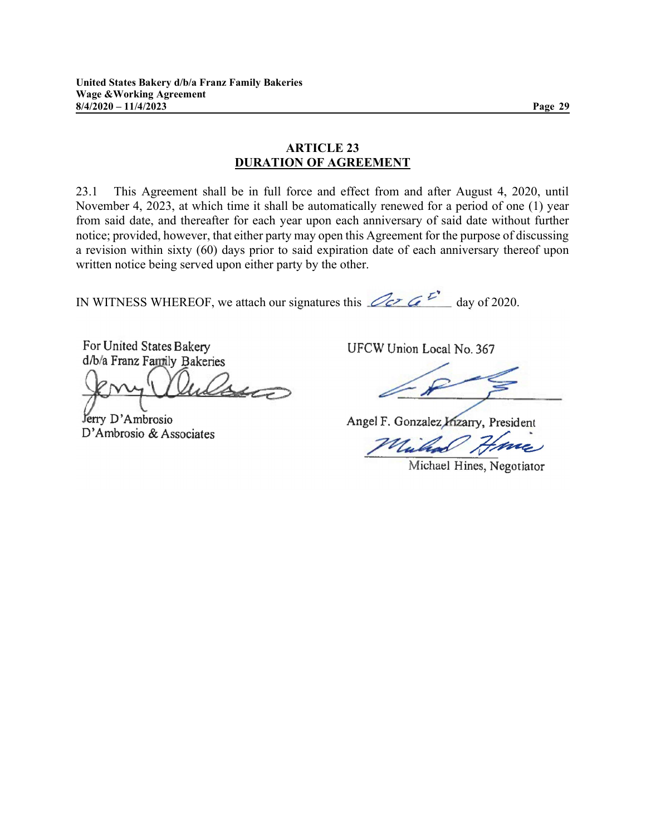# ARTICLE 23

DURATION OF AGREEMENT

23.1 This Agreement shall be in full force and effect from and after August 4, 2020, until November 4, 2023, at which time it shall be automatically renewed for a period of one (1) year from said date, and thereafter for each year upon each anniversary of said date without further notice; provided, however, that either party may open this Agreement for the purpose of discussing a revision within sixty (60) days prior to said expiration date of each anniversary thereof upon written notice being served upon either party by the other.

IN WITNESS WHEREOF, we attach our signatures this  $\mathbb{Z}_{\mathcal{C}}$   $\mathcal{C}$  day of 2020.

For United States Bakery d/b/a Franz Family Bakeries

 $\Delta$  $4\pi$ 

Jerry D'Ambrosio D'Ambrosio & Associates UFCW Union Local No. 367

Angel F. Gonzalez Mizarry, President

Michael Hines, Negotiator